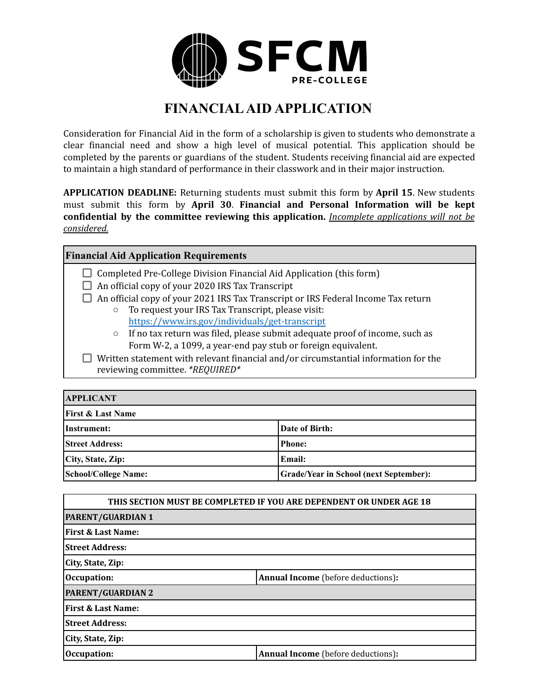

## **FINANCIALAID APPLICATION**

Consideration for Financial Aid in the form of a scholarship is given to students who demonstrate a clear financial need and show a high level of musical potential. This application should be completed by the parents or guardians of the student. Students receiving financial aid are expected to maintain a high standard of performance in their classwork and in their major instruction.

**APPLICATION DEADLINE:** Returning students must submit this form by **April 15**. New students must submit this form by **April 30**. **Financial and Personal Information will be kept confidential by the committee reviewing this application.** *Incomplete applications will not be considered.*

## **Financial Aid Application Requirements**

- $\Box$  Completed Pre-College Division Financial Aid Application (this form)
- $\Box$  An official copy of your 2020 IRS Tax Transcript
- $\Box$  An official copy of your 2021 IRS Tax Transcript or IRS Federal Income Tax return
	- To request your IRS Tax Transcript, please visit: <https://www.irs.gov/individuals/get-transcript>
	- If no tax return was filed, please submit adequate proof of income, such as Form W-2, a 1099, a year-end pay stub or foreign equivalent.
- $\Box$  Written statement with relevant financial and/or circumstantial information for the reviewing committee. *\*REQUIRED\**

| <b>APPLICANT</b>             |                                               |  |
|------------------------------|-----------------------------------------------|--|
| <b>First &amp; Last Name</b> |                                               |  |
| Instrument:                  | Date of Birth:                                |  |
| <b>Street Address:</b>       | <b>Phone:</b>                                 |  |
| City, State, Zip:            | Email:                                        |  |
| <b>School/College Name:</b>  | <b>Grade/Year in School (next September):</b> |  |

| THIS SECTION MUST BE COMPLETED IF YOU ARE DEPENDENT OR UNDER AGE 18 |                                           |  |
|---------------------------------------------------------------------|-------------------------------------------|--|
| <b>PARENT/GUARDIAN 1</b>                                            |                                           |  |
| <b>First &amp; Last Name:</b>                                       |                                           |  |
| <b>Street Address:</b>                                              |                                           |  |
| City, State, Zip:                                                   |                                           |  |
| Occupation:                                                         | <b>Annual Income</b> (before deductions): |  |
| <b>PARENT/GUARDIAN 2</b>                                            |                                           |  |
| <b>First &amp; Last Name:</b>                                       |                                           |  |
| <b>Street Address:</b>                                              |                                           |  |
| City, State, Zip:                                                   |                                           |  |
| Occupation:                                                         | <b>Annual Income</b> (before deductions): |  |